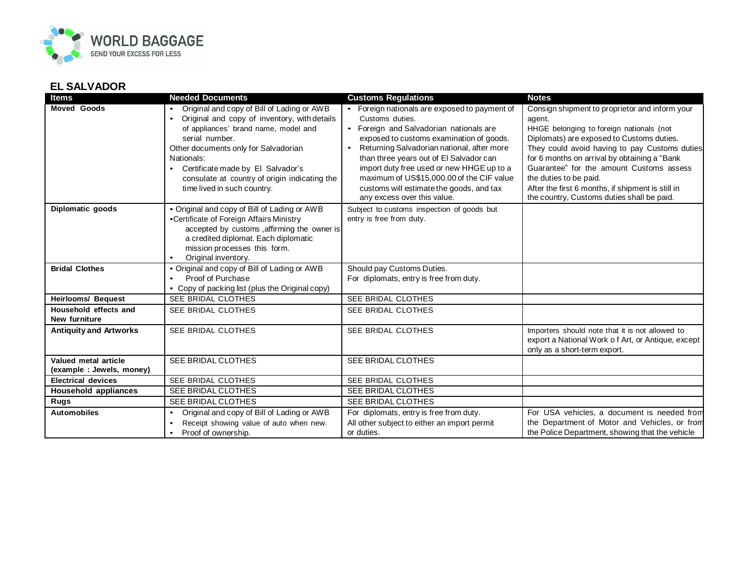

## **EL SALVADOR**

| <b>Items</b>                                     | <b>Needed Documents</b>                                                                                                                                                                                                                                                                                                           | <b>Customs Regulations</b>                                                                                                                                                                                                                                                                                                                                                                                                       | <b>Notes</b>                                                                                                                                                                                                                                                                                                                                                                                                                |
|--------------------------------------------------|-----------------------------------------------------------------------------------------------------------------------------------------------------------------------------------------------------------------------------------------------------------------------------------------------------------------------------------|----------------------------------------------------------------------------------------------------------------------------------------------------------------------------------------------------------------------------------------------------------------------------------------------------------------------------------------------------------------------------------------------------------------------------------|-----------------------------------------------------------------------------------------------------------------------------------------------------------------------------------------------------------------------------------------------------------------------------------------------------------------------------------------------------------------------------------------------------------------------------|
| <b>Moved Goods</b>                               | • Original and copy of Bill of Lading or AWB<br>Original and copy of inventory, with details<br>of appliances' brand name, model and<br>serial number.<br>Other documents only for Salvadorian<br>Nationals:<br>Certificate made by El Salvador's<br>consulate at country of origin indicating the<br>time lived in such country. | • Foreign nationals are exposed to payment of<br>Customs duties.<br>Foreign and Salvadorian nationals are<br>$\bullet$<br>exposed to customs examination of goods.<br>Returning Salvadorian national, after more<br>than three years out of El Salvador can<br>import duty free used or new HHGE up to a<br>maximum of US\$15,000.00 of the CIF value<br>customs will estimate the goods, and tax<br>any excess over this value. | Consign shipment to proprietor and inform your<br>agent.<br>HHGE belonging to foreign nationals (not<br>Diplomats) are exposed to Customs duties.<br>They could avoid having to pay Customs duties<br>for 6 months on arrival by obtaining a "Bank<br>Guarantee" for the amount Customs assess<br>the duties to be paid.<br>After the first 6 months, if shipment is still in<br>the country, Customs duties shall be paid. |
| Diplomatic goods                                 | • Original and copy of Bill of Lading or AWB<br>•Certificate of Foreign Affairs Ministry<br>accepted by customs, affirming the owner is<br>a credited diplomat. Each diplomatic<br>mission processes this form.<br>Original inventory.                                                                                            | Subject to customs inspection of goods but<br>entry is free from duty.                                                                                                                                                                                                                                                                                                                                                           |                                                                                                                                                                                                                                                                                                                                                                                                                             |
| <b>Bridal Clothes</b>                            | • Original and copy of Bill of Lading or AWB<br>Proof of Purchase<br>• Copy of packing list (plus the Original copy)                                                                                                                                                                                                              | Should pay Customs Duties.<br>For diplomats, entry is free from duty.                                                                                                                                                                                                                                                                                                                                                            |                                                                                                                                                                                                                                                                                                                                                                                                                             |
| <b>Heirlooms/ Bequest</b>                        | SEE BRIDAL CLOTHES                                                                                                                                                                                                                                                                                                                | SEE BRIDAL CLOTHES                                                                                                                                                                                                                                                                                                                                                                                                               |                                                                                                                                                                                                                                                                                                                                                                                                                             |
| Household effects and<br>New furniture           | SEE BRIDAL CLOTHES                                                                                                                                                                                                                                                                                                                | SEE BRIDAL CLOTHES                                                                                                                                                                                                                                                                                                                                                                                                               |                                                                                                                                                                                                                                                                                                                                                                                                                             |
| <b>Antiquity and Artworks</b>                    | SEE BRIDAL CLOTHES                                                                                                                                                                                                                                                                                                                | SEE BRIDAL CLOTHES                                                                                                                                                                                                                                                                                                                                                                                                               | Importers should note that it is not allowed to<br>export a National Work of Art, or Antique, except<br>only as a short-term export.                                                                                                                                                                                                                                                                                        |
| Valued metal article<br>(example: Jewels, money) | SEE BRIDAL CLOTHES                                                                                                                                                                                                                                                                                                                | SEE BRIDAL CLOTHES                                                                                                                                                                                                                                                                                                                                                                                                               |                                                                                                                                                                                                                                                                                                                                                                                                                             |
| <b>Electrical devices</b>                        | SEE BRIDAL CLOTHES                                                                                                                                                                                                                                                                                                                | SEE BRIDAL CLOTHES                                                                                                                                                                                                                                                                                                                                                                                                               |                                                                                                                                                                                                                                                                                                                                                                                                                             |
| <b>Household appliances</b>                      | <b>SEE BRIDAL CLOTHES</b>                                                                                                                                                                                                                                                                                                         | <b>SEE BRIDAL CLOTHES</b>                                                                                                                                                                                                                                                                                                                                                                                                        |                                                                                                                                                                                                                                                                                                                                                                                                                             |
| <b>Rugs</b>                                      | <b>SEE BRIDAL CLOTHES</b>                                                                                                                                                                                                                                                                                                         | <b>SEE BRIDAL CLOTHES</b>                                                                                                                                                                                                                                                                                                                                                                                                        |                                                                                                                                                                                                                                                                                                                                                                                                                             |
| <b>Automobiles</b>                               | Original and copy of Bill of Lading or AWB<br>Receipt showing value of auto when new.<br>Proof of ownership.                                                                                                                                                                                                                      | For diplomats, entry is free from duty.<br>All other subject to either an import permit<br>or duties.                                                                                                                                                                                                                                                                                                                            | For USA vehicles, a document is needed from<br>the Department of Motor and Vehicles, or from<br>the Police Department, showing that the vehicle                                                                                                                                                                                                                                                                             |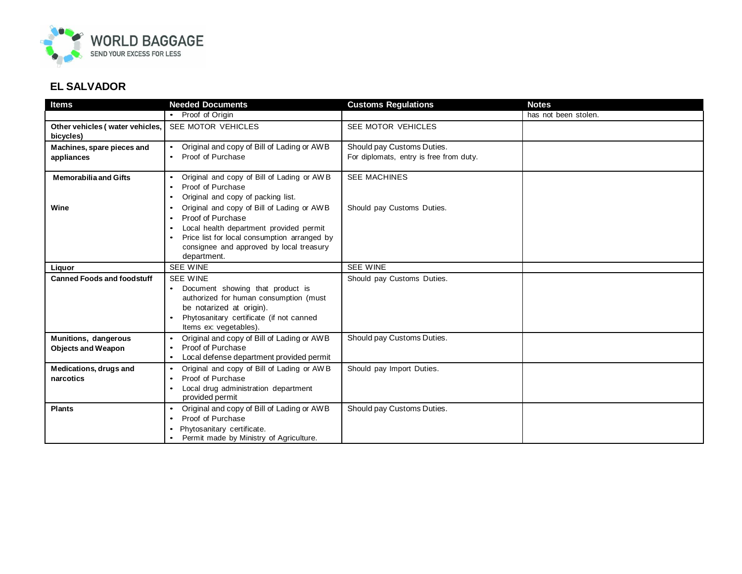

## **EL SALVADOR**

| Items                                             | <b>Needed Documents</b>                                                                                                                                                                                                                                                                                                        | <b>Customs Regulations</b>                                            | <b>Notes</b>         |
|---------------------------------------------------|--------------------------------------------------------------------------------------------------------------------------------------------------------------------------------------------------------------------------------------------------------------------------------------------------------------------------------|-----------------------------------------------------------------------|----------------------|
|                                                   | • Proof of Origin                                                                                                                                                                                                                                                                                                              |                                                                       | has not been stolen. |
| Other vehicles (water vehicles,<br>bicycles)      | SEE MOTOR VEHICLES                                                                                                                                                                                                                                                                                                             | SEE MOTOR VEHICLES                                                    |                      |
| Machines, spare pieces and<br>appliances          | Original and copy of Bill of Lading or AWB<br>Proof of Purchase                                                                                                                                                                                                                                                                | Should pay Customs Duties.<br>For diplomats, entry is free from duty. |                      |
| <b>Memorabilia and Gifts</b><br>Wine              | Original and copy of Bill of Lading or AWB<br>Proof of Purchase<br>Original and copy of packing list.<br>Original and copy of Bill of Lading or AWB<br>Proof of Purchase<br>Local health department provided permit<br>Price list for local consumption arranged by<br>consignee and approved by local treasury<br>department. | <b>SEE MACHINES</b><br>Should pay Customs Duties.                     |                      |
| Liquor                                            | <b>SEE WINE</b>                                                                                                                                                                                                                                                                                                                | <b>SEE WINE</b>                                                       |                      |
| <b>Canned Foods and foodstuff</b>                 | <b>SEE WINE</b><br>Document showing that product is<br>authorized for human consumption (must<br>be notarized at origin).<br>Phytosanitary certificate (if not canned<br>Items ex: vegetables).                                                                                                                                | Should pay Customs Duties.                                            |                      |
| Munitions, dangerous<br><b>Objects and Weapon</b> | Original and copy of Bill of Lading or AWB<br>Proof of Purchase<br>$\bullet$<br>Local defense department provided permit<br>$\bullet$                                                                                                                                                                                          | Should pay Customs Duties.                                            |                      |
| <b>Medications, drugs and</b><br>narcotics        | Original and copy of Bill of Lading or AWB<br>$\bullet$<br>Proof of Purchase<br>$\bullet$<br>Local drug administration department<br>$\bullet$<br>provided permit                                                                                                                                                              | Should pay Import Duties.                                             |                      |
| <b>Plants</b>                                     | Original and copy of Bill of Lading or AWB<br>Proof of Purchase<br>Phytosanitary certificate.<br>Permit made by Ministry of Agriculture.                                                                                                                                                                                       | Should pay Customs Duties.                                            |                      |